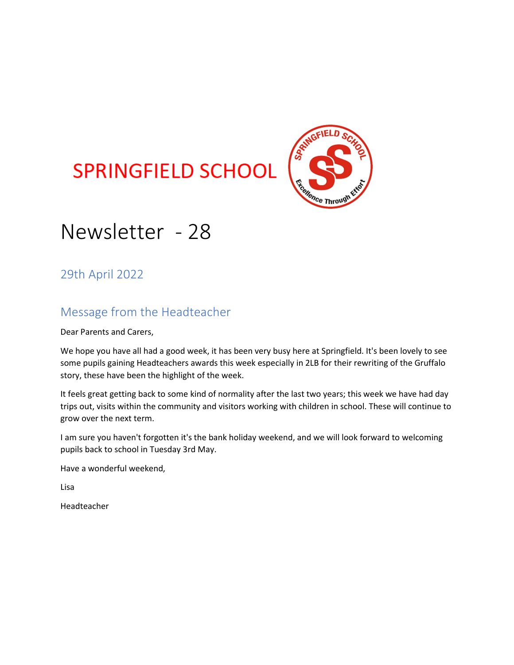# **SPRINGFIELD SCHOOL**



# Newsletter - 28

29th April 2022

## Message from the Headteacher

Dear Parents and Carers,

We hope you have all had a good week, it has been very busy here at Springfield. It's been lovely to see some pupils gaining Headteachers awards this week especially in 2LB for their rewriting of the Gruffalo story, these have been the highlight of the week.

It feels great getting back to some kind of normality after the last two years; this week we have had day trips out, visits within the community and visitors working with children in school. These will continue to grow over the next term.

I am sure you haven't forgotten it's the bank holiday weekend, and we will look forward to welcoming pupils back to school in Tuesday 3rd May.

Have a wonderful weekend,

Lisa

Headteacher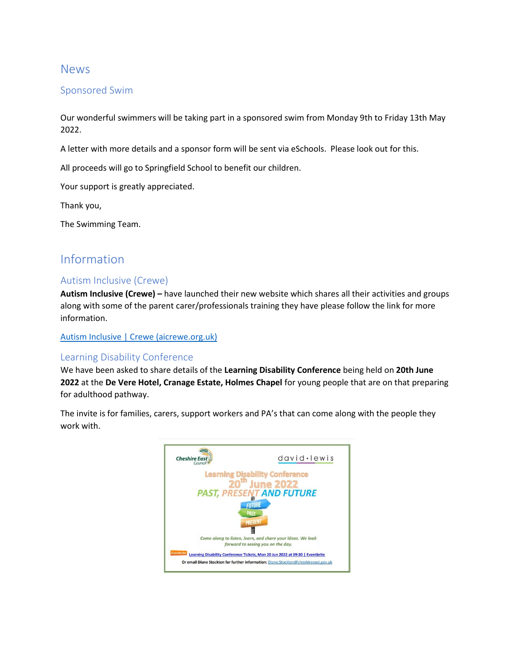## News

### Sponsored Swim

Our wonderful swimmers will be taking part in a sponsored swim from Monday 9th to Friday 13th May 2022.

A letter with more details and a sponsor form will be sent via eSchools. Please look out for this.

All proceeds will go to Springfield School to benefit our children.

Your support is greatly appreciated.

Thank you,

The Swimming Team.

## Information

#### Autism Inclusive (Crewe)

**Autism Inclusive (Crewe) –** have launched their new website which shares all their activities and groups along with some of the parent carer/professionals training they have please follow the link for more information.

[Autism Inclusive | Crewe \(aicrewe.org.uk\)](https://www.aicrewe.org.uk/)

#### Learning Disability Conference

We have been asked to share details of the **Learning Disability Conference** being held on **20th June 2022** at the **De Vere Hotel, Cranage Estate, Holmes Chapel** for young people that are on that preparing for adulthood pathway.

The invite is for families, carers, support workers and PA's that can come along with the people they work with.

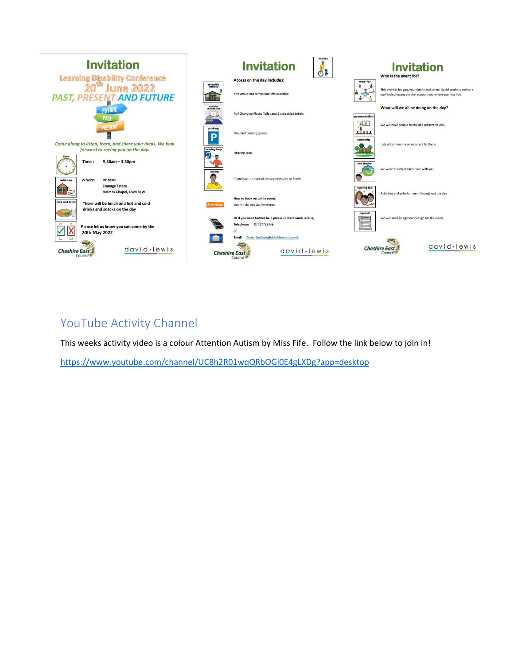

## YouTube Activity Channel

This weeks activity video is a colour Attention Autism by Miss Fife. Follow the link below to join in!

<https://www.youtube.com/channel/UC8h2R01wqQRbOGl0E4gLXDg?app=desktop>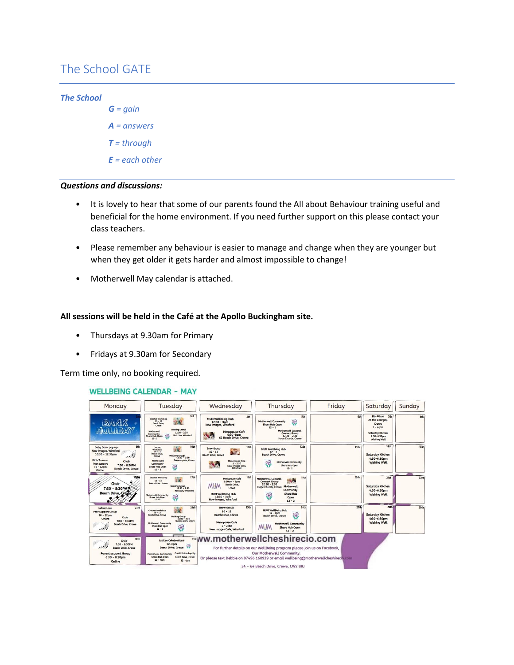## The School GATE

#### *The School*

*G = gain A = answers T = through E = each other*

#### *Questions and discussions:*

- It is lovely to hear that some of our parents found the All about Behaviour training useful and beneficial for the home environment. If you need further support on this please contact your class teachers.
- Please remember any behaviour is easier to manage and change when they are younger but when they get older it gets harder and almost impossible to change!
- Motherwell May calendar is attached.

#### **All sessions will be held in the Café at the Apollo Buckingham site.**

- Thursdays at 9.30am for Primary
- Fridays at 9.30am for Secondary

Term time only, no booking required.

#### **WELLBEING CALENDAR - MAY**

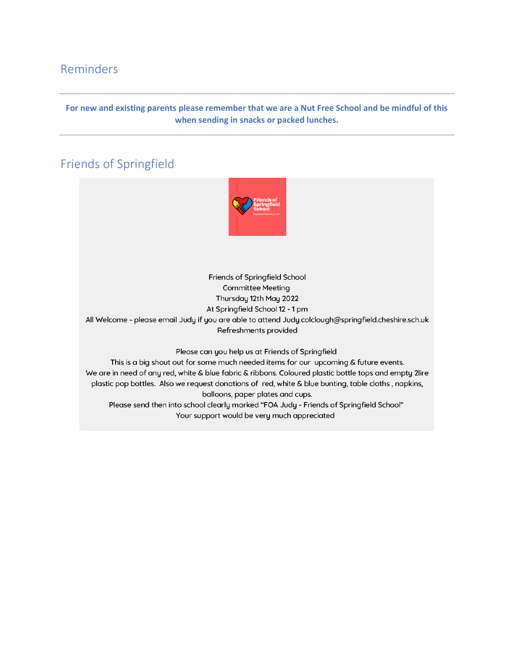## Reminders

#### **For new and existing parents please remember that we are a Nut Free School and be mindful of this when sending in snacks or packed lunches.**

# Friends of Springfield



Friends of Springfield School **Committee Meeting** Thursday 12th May 2022 At Springfield School 12 - 1 pm All Welcome - please email Judy if you are able to attend Judy.colclough@springfield.cheshire.sch.uk Refreshments provided

Please can you help us at Friends of Springfield

This is a big shout out for some much needed items for our upcoming & future events. We are in need of any red, white & blue fabric & ribbons. Coloured plastic bottle tops and empty 2lire plastic pop bottles. Also we request donations of red, white & blue bunting, table cloths, napkins, balloons, paper plates and cups. Please send then into school clearly marked "FOA Judy - Friends of Springfield School"

Your support would be very much appreciated